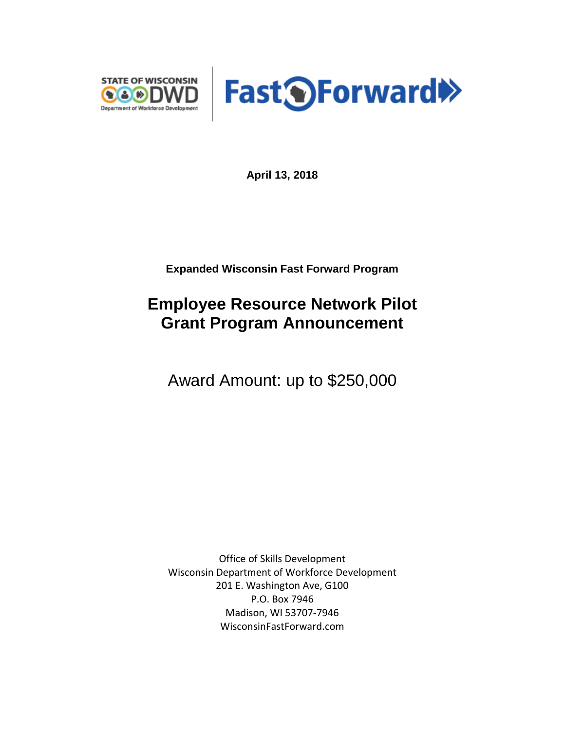



**April 13, 2018**

**Expanded Wisconsin Fast Forward Program**

## **Employee Resource Network Pilot Grant Program Announcement**

Award Amount: up to \$250,000

Office of Skills Development Wisconsin Department of Workforce Development 201 E. Washington Ave, G100 P.O. Box 7946 Madison, WI 53707-7946 WisconsinFastForward.com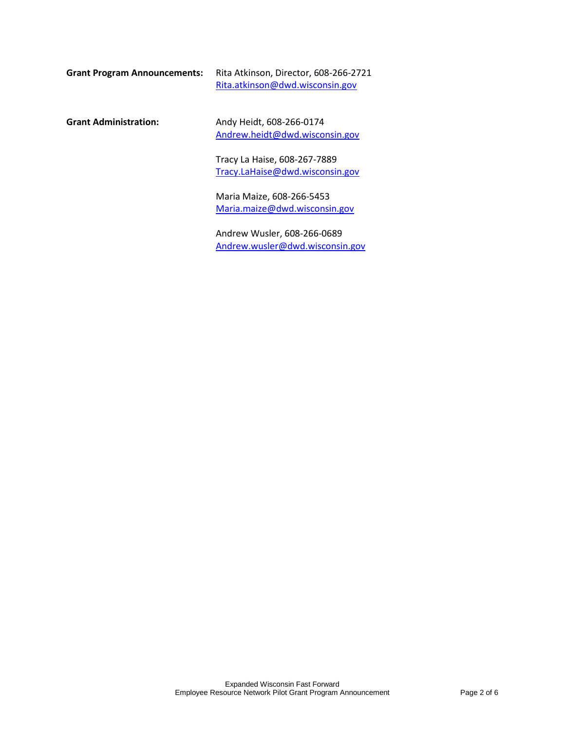| Grant Program Announcements: | Rita Atkinson, Director, 608-266-2721 |
|------------------------------|---------------------------------------|
|                              | Rita.atkinson@dwd.wisconsin.gov       |

**Grant Administration:** Andy Heidt, 608-266-0174 [Andrew.heidt@dwd.wisconsin.gov](mailto:Andrew.heidt@dwd.wisconsin.gov)

> Tracy La Haise, 608-267-7889 [Tracy.LaHaise@dwd.wisconsin.gov](mailto:Tracy.LaHaise@dwd.wisconsin.gov)

Maria Maize, 608-266-5453 [Maria.maize@dwd.wisconsin.gov](mailto:Maria.maize@dwd.wisconsin.gov)

Andrew Wusler, 608-266-0689 [Andrew.wusler@dwd.wisconsin.gov](mailto:Andrew.wusler@dwd.wisconsin.gov)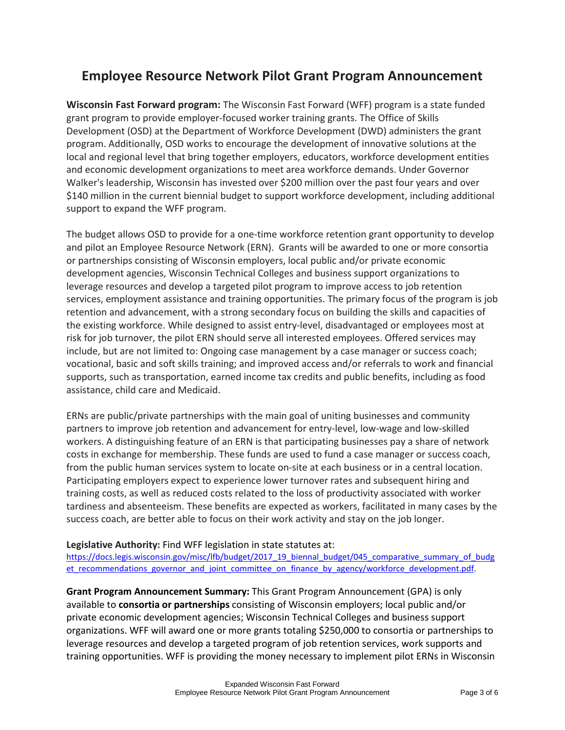## **Employee Resource Network Pilot Grant Program Announcement**

**Wisconsin Fast Forward program:** The Wisconsin Fast Forward (WFF) program is a state funded grant program to provide employer-focused worker training grants. The Office of Skills Development (OSD) at the Department of Workforce Development (DWD) administers the grant program. Additionally, OSD works to encourage the development of innovative solutions at the local and regional level that bring together employers, educators, workforce development entities and economic development organizations to meet area workforce demands. Under Governor Walker's leadership, Wisconsin has invested over \$200 million over the past four years and over \$140 million in the current biennial budget to support workforce development, including additional support to expand the WFF program.

The budget allows OSD to provide for a one-time workforce retention grant opportunity to develop and pilot an Employee Resource Network (ERN). Grants will be awarded to one or more consortia or partnerships consisting of Wisconsin employers, local public and/or private economic development agencies, Wisconsin Technical Colleges and business support organizations to leverage resources and develop a targeted pilot program to improve access to job retention services, employment assistance and training opportunities. The primary focus of the program is job retention and advancement, with a strong secondary focus on building the skills and capacities of the existing workforce. While designed to assist entry-level, disadvantaged or employees most at risk for job turnover, the pilot ERN should serve all interested employees. Offered services may include, but are not limited to: Ongoing case management by a case manager or success coach; vocational, basic and soft skills training; and improved access and/or referrals to work and financial supports, such as transportation, earned income tax credits and public benefits, including as food assistance, child care and Medicaid.

ERNs are public/private partnerships with the main goal of uniting businesses and community partners to improve job retention and advancement for entry-level, low-wage and low-skilled workers. A distinguishing feature of an ERN is that participating businesses pay a share of network costs in exchange for membership. These funds are used to fund a case manager or success coach, from the public human services system to locate on-site at each business or in a central location. Participating employers expect to experience lower turnover rates and subsequent hiring and training costs, as well as reduced costs related to the loss of productivity associated with worker tardiness and absenteeism. These benefits are expected as workers, facilitated in many cases by the success coach, are better able to focus on their work activity and stay on the job longer.

## **Legislative Authority:** Find WFF legislation in state statutes at:

[https://docs.legis.wisconsin.gov/misc/lfb/budget/2017\\_19\\_biennal\\_budget/045\\_comparative\\_summary\\_of\\_budg](https://docs.legis.wisconsin.gov/misc/lfb/budget/2017_19_biennal_budget/045_comparative_summary_of_budget_recommendations_governor_and_joint_committee_on_finance_by_agency/workforce_development.pdf) et recommendations governor and joint committee on finance by agency/workforce development.pdf.

**Grant Program Announcement Summary:** This Grant Program Announcement (GPA) is only available to **consortia or partnerships** consisting of Wisconsin employers; local public and/or private economic development agencies; Wisconsin Technical Colleges and business support organizations. WFF will award one or more grants totaling \$250,000 to consortia or partnerships to leverage resources and develop a targeted program of job retention services, work supports and training opportunities. WFF is providing the money necessary to implement pilot ERNs in Wisconsin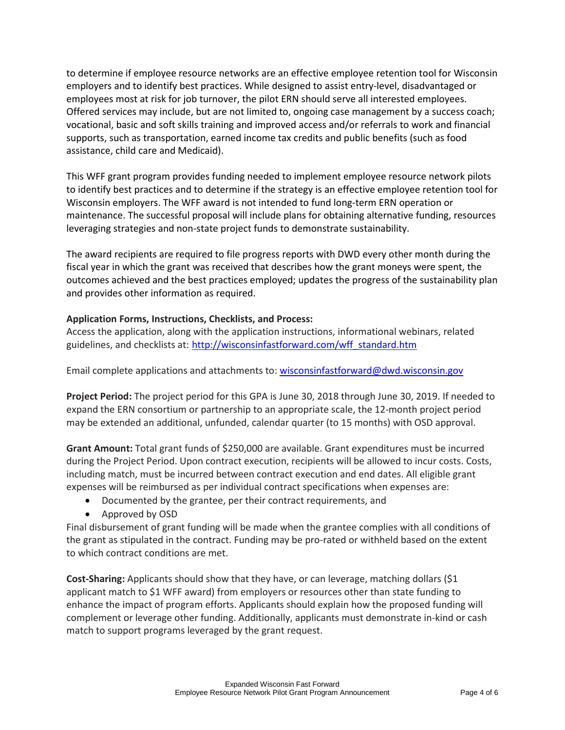to determine if employee resource networks are an effective employee retention tool for Wisconsin employers and to identify best practices. While designed to assist entry-level, disadvantaged or employees most at risk for job turnover, the pilot ERN should serve all interested employees. Offered services may include, but are not limited to, ongoing case management by a success coach; vocational, basic and soft skills training and improved access and/or referrals to work and financial supports, such as transportation, earned income tax credits and public benefits (such as food assistance, child care and Medicaid).

This WFF grant program provides funding needed to implement employee resource network pilots to identify best practices and to determine if the strategy is an effective employee retention tool for Wisconsin employers. The WFF award is not intended to fund long-term ERN operation or maintenance. The successful proposal will include plans for obtaining alternative funding, resources leveraging strategies and non-state project funds to demonstrate sustainability.

The award recipients are required to file progress reports with DWD every other month during the fiscal year in which the grant was received that describes how the grant moneys were spent, the outcomes achieved and the best practices employed; updates the progress of the sustainability plan and provides other information as required.

## **Application Forms, Instructions, Checklists, and Process:**

Access the application, along with the application instructions, informational webinars, related guidelines, and checklists at: [http://wisconsinfastforward.com/wff\\_standard.htm](http://wisconsinfastforward.com/wff_standard.htm)

Email complete applications and attachments to: [wisconsinfastforward@dwd.wisconsin.gov](mailto:wisconsinfastforward@dwd.wisconsin.gov) 

**Project Period:** The project period for this GPA is June 30, 2018 through June 30, 2019. If needed to expand the ERN consortium or partnership to an appropriate scale, the 12-month project period may be extended an additional, unfunded, calendar quarter (to 15 months) with OSD approval.

**Grant Amount:** Total grant funds of \$250,000 are available. Grant expenditures must be incurred during the Project Period. Upon contract execution, recipients will be allowed to incur costs. Costs, including match, must be incurred between contract execution and end dates. All eligible grant expenses will be reimbursed as per individual contract specifications when expenses are:

- Documented by the grantee, per their contract requirements, and
- Approved by OSD

Final disbursement of grant funding will be made when the grantee complies with all conditions of the grant as stipulated in the contract. Funding may be pro-rated or withheld based on the extent to which contract conditions are met.

**Cost-Sharing:** Applicants should show that they have, or can leverage, matching dollars (\$1 applicant match to \$1 WFF award) from employers or resources other than state funding to enhance the impact of program efforts. Applicants should explain how the proposed funding will complement or leverage other funding. Additionally, applicants must demonstrate in-kind or cash match to support programs leveraged by the grant request.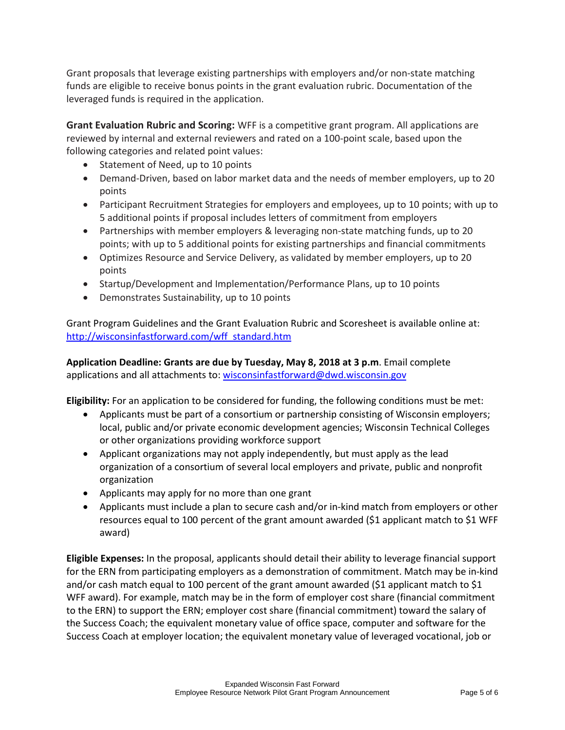Grant proposals that leverage existing partnerships with employers and/or non-state matching funds are eligible to receive bonus points in the grant evaluation rubric. Documentation of the leveraged funds is required in the application.

**Grant Evaluation Rubric and Scoring:** WFF is a competitive grant program. All applications are reviewed by internal and external reviewers and rated on a 100-point scale, based upon the following categories and related point values:

- Statement of Need, up to 10 points
- Demand-Driven, based on labor market data and the needs of member employers, up to 20 points
- Participant Recruitment Strategies for employers and employees, up to 10 points; with up to 5 additional points if proposal includes letters of commitment from employers
- Partnerships with member employers & leveraging non-state matching funds, up to 20 points; with up to 5 additional points for existing partnerships and financial commitments
- Optimizes Resource and Service Delivery, as validated by member employers, up to 20 points
- Startup/Development and Implementation/Performance Plans, up to 10 points
- Demonstrates Sustainability, up to 10 points

Grant Program Guidelines and the Grant Evaluation Rubric and Scoresheet is available online at: [http://wisconsinfastforward.com/wff\\_standard.htm](http://wisconsinfastforward.com/wff_standard.htm)

**Application Deadline: Grants are due by Tuesday, May 8, 2018 at 3 p.m**. Email complete applications and all attachments to: [wisconsinfastforward@dwd.wisconsin.gov](mailto:wisconsinfastforward@dwd.wisconsin.gov)

**Eligibility:** For an application to be considered for funding, the following conditions must be met:

- Applicants must be part of a consortium or partnership consisting of Wisconsin employers; local, public and/or private economic development agencies; Wisconsin Technical Colleges or other organizations providing workforce support
- Applicant organizations may not apply independently, but must apply as the lead organization of a consortium of several local employers and private, public and nonprofit organization
- Applicants may apply for no more than one grant
- Applicants must include a plan to secure cash and/or in-kind match from employers or other resources equal to 100 percent of the grant amount awarded (\$1 applicant match to \$1 WFF award)

**Eligible Expenses:** In the proposal, applicants should detail their ability to leverage financial support for the ERN from participating employers as a demonstration of commitment. Match may be in-kind and/or cash match equal to 100 percent of the grant amount awarded (\$1 applicant match to \$1 WFF award). For example, match may be in the form of employer cost share (financial commitment to the ERN) to support the ERN; employer cost share (financial commitment) toward the salary of the Success Coach; the equivalent monetary value of office space, computer and software for the Success Coach at employer location; the equivalent monetary value of leveraged vocational, job or